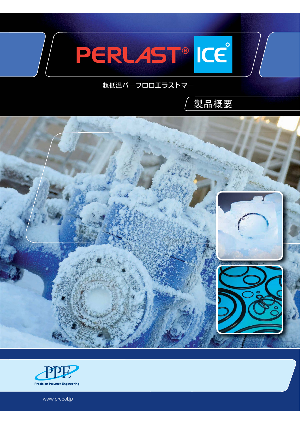

# 超低温パーフロロエラストマー







www.prepol.jp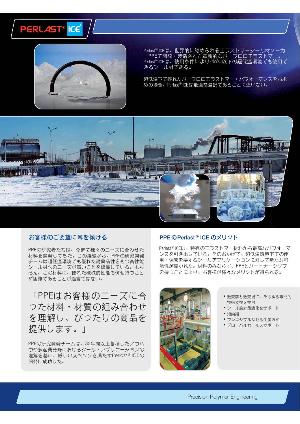



Perlast®ICEは、世界的に認められるエラストマーシール材メーカ<br>一PPEで開発・製造された革新的なパーフロロエラストマー。<br>Perlast®ICEは、使用条件により-46℃以下の超低温環境でも使用で きるシール材である。

超低温下で優れたパーフロロエラストマー・パフォーマンスをお求 めの場合、Perlast®ICEは最適な選択であることに違いない。



## お客様のご要望に耳を傾ける

PPEの研究者たちは、今まで様々のニーズに合わせた 材料を開発してきた。この経験から、PPEの研究開発 チームは超低温環境でも優れた耐薬品性をもつ高性能 シール材へのニーズが高いことを認識している。もち ろん、この材料に、優れた機械的性能も併せ持つこと が困難であることが過言ではない。

「PPEはお客様のニーズに合 つた材料·材質の組み合わせ を理解し、ぴったりの商品を 提供します。|

PPEの研究開発チームは、35年間以上蓄積したノウハ ウや多産業分野におけるシール・アプリケーションの 理解を基に、厳しいスペックを満たすPerlast®ICEの 開発に成功した。

### PPEのPerlast®ICEのメリット

Perlast®ICEは、特有のエラストマー材料から最高なパフォーマ ンスを引き出している。そのおかげで、超低温環境下での使 用・保管を要するシールアプリケーションに対して新たな可 能性が開かれた。材料のみならず、PPEとパートナーシップ を持つことにより、お客様が様々なメリットが得られる。



- •販売前と販売後に、あらゆる専門的 技術支援を提供
- •シール設計最適化をサポート
- 短納期
- フレキシブルなセル生産方式
- グローバルセールスサポート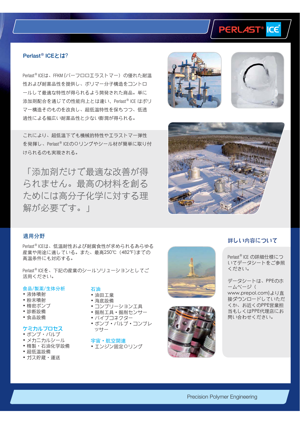

#### **Perlast<sup>®</sup> ICEとは?**

Perlast<sup>®</sup> ICEは、FFKM (パーフロロエラストマー)の優れた耐温 性および耐薬品性を提供し、ポリマー分子構造をコントロ ールして最適な特性が得られるよう開発された商品。単に 添加剤配合を通じての性能向上とは違い、Perlast® ICE はポリ マー構造そのものを改良し、超低温特性を保ちつつ、低透 過性による幅広い耐薬品性と少ない膨潤が得られる。

これにより、超低温下でも機械的特性やエラストマー弾性 を発揮し、Perlast®ICEのOリングやシール材が簡単に取り付 けられるのも実現される。

「添加剤だけで最適な改善が得 られません。最高の材料を創る ためには高分子化学に対する理 解が必要です。|







#### 適用分野

Perlast®ICEは、低温耐性および耐腐食性が求められるあらゆる 産業や用途に適している。また、最高250℃ (482°F)までの 高温条件にも対応する。

Perlast®ICEを、下記の産業のシールソリューションとしてご 活用ください。

#### 食品/製薬/生体分析

- 液体噴射
- 粉末噴射
- 精密ポンプ
- 診断設備
- 食品設備

#### ケミカルプロセス

- ポンプ・バルブ
- •メカニカルシール
- •精製·石油化学設備
- 超低温設備
- ガス貯蔵・運送

## 石油

- 油田工業
- 海底設備
- •コンプリーション工具 • 掘削工具 • 掘削センサー
- 
- パイプコネクター
- •ポンプ・バルブ・コンプレ ッサー

宇宙·航空関連

•エンジン固定Oリング





#### 詳しい内容について

Perlast® ICE の詳細什様につ いてデータシートをご参照 ください。

データシートは、PPEのホ ームページ ( www.prepol.com)より直 接ダウンロードしていただ くか、お近くのPPE営業担 当もしくはPPE代理店にお 問い合わせください。